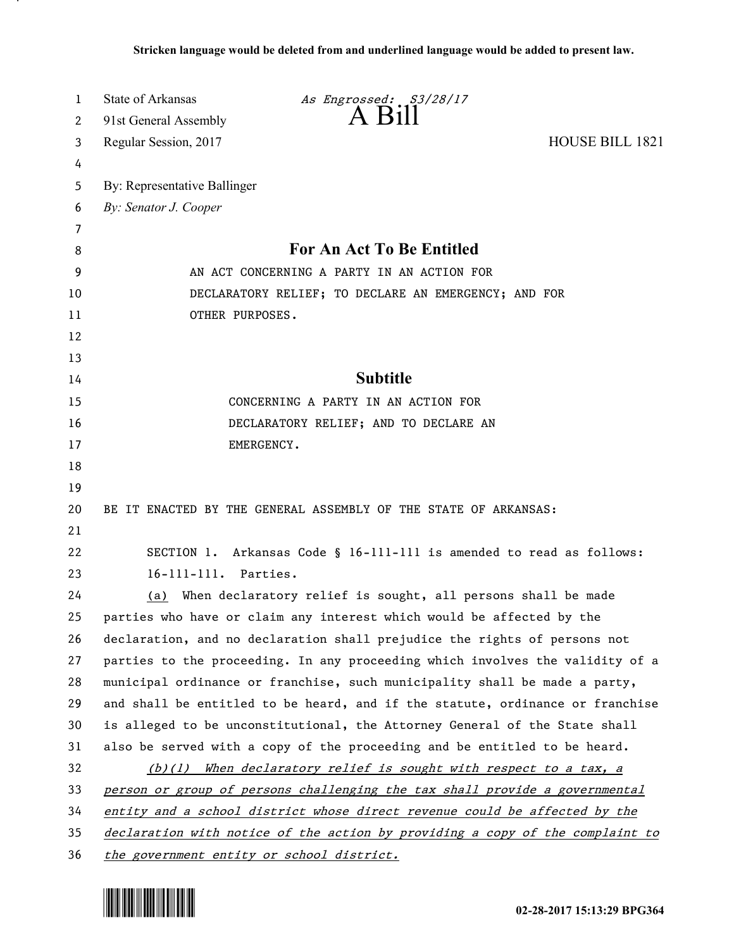| 1        | State of Arkansas<br>As Engrossed: S3/28/17<br>$A$ $B1$                       |  |
|----------|-------------------------------------------------------------------------------|--|
| 2        | 91st General Assembly                                                         |  |
| 3        | <b>HOUSE BILL 1821</b><br>Regular Session, 2017                               |  |
| 4        |                                                                               |  |
| 5        | By: Representative Ballinger                                                  |  |
| 6        | By: Senator J. Cooper                                                         |  |
| 7        |                                                                               |  |
| 8        | For An Act To Be Entitled                                                     |  |
| 9        | AN ACT CONCERNING A PARTY IN AN ACTION FOR                                    |  |
| 10       | DECLARATORY RELIEF; TO DECLARE AN EMERGENCY; AND FOR                          |  |
| 11       | OTHER PURPOSES.                                                               |  |
| 12       |                                                                               |  |
| 13       |                                                                               |  |
| 14       | <b>Subtitle</b>                                                               |  |
| 15       | CONCERNING A PARTY IN AN ACTION FOR                                           |  |
| 16       | DECLARATORY RELIEF; AND TO DECLARE AN                                         |  |
| 17       | EMERGENCY.                                                                    |  |
| 18       |                                                                               |  |
| 19       |                                                                               |  |
| 20<br>21 | BE IT ENACTED BY THE GENERAL ASSEMBLY OF THE STATE OF ARKANSAS:               |  |
| 22       | SECTION 1. Arkansas Code § 16-111-111 is amended to read as follows:          |  |
| 23       | 16-111-111. Parties.                                                          |  |
| 24       | (a) When declaratory relief is sought, all persons shall be made              |  |
| 25       | parties who have or claim any interest which would be affected by the         |  |
| 26       | declaration, and no declaration shall prejudice the rights of persons not     |  |
| 27       | parties to the proceeding. In any proceeding which involves the validity of a |  |
| 28       | municipal ordinance or franchise, such municipality shall be made a party,    |  |
| 29       | and shall be entitled to be heard, and if the statute, ordinance or franchise |  |
| 30       | is alleged to be unconstitutional, the Attorney General of the State shall    |  |
| 31       | also be served with a copy of the proceeding and be entitled to be heard.     |  |
| 32       | $(b)(1)$ When declaratory relief is sought with respect to a tax, a           |  |
| 33       | person or group of persons challenging the tax shall provide a governmental   |  |
| 34       | entity and a school district whose direct revenue could be affected by the    |  |
| 35       | declaration with notice of the action by providing a copy of the complaint to |  |
| 36       | the government entity or school district.                                     |  |



.